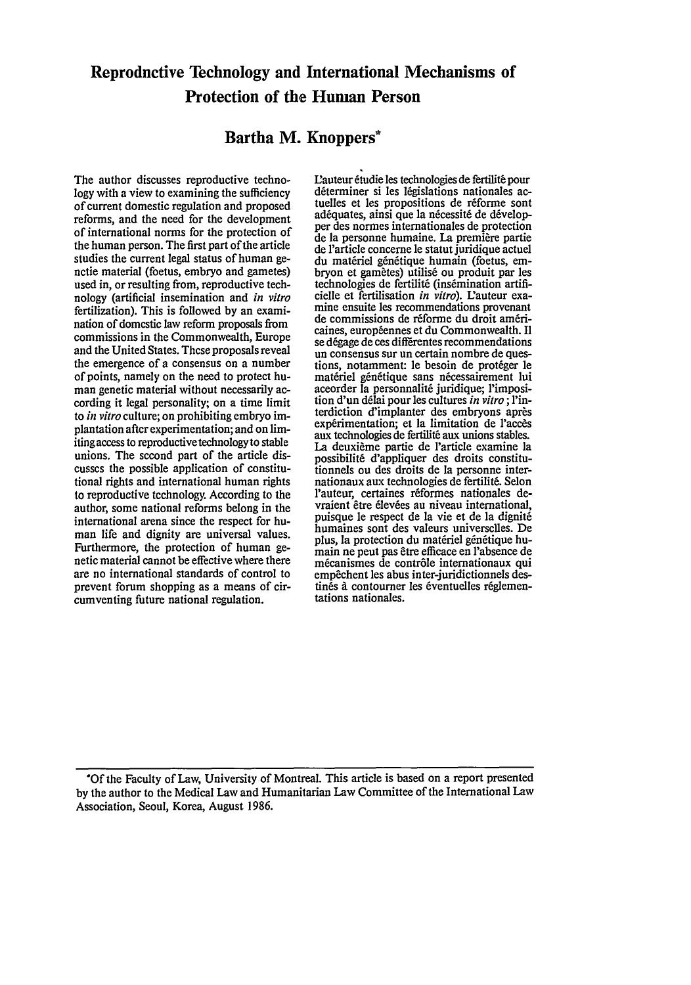# Reproductive Technology and International Mechanisms of Protection of the Human Person

# Bartha M. Knoppers\*

The author discusses reproductive technology with a view to examining the sufficiency of current domestic regulation and proposed reforms, and the need for the development of international norms for the protection of the human person. The first part of the article studies the current legal status of human genetic material (foetus, embryo and gametes) used in, or resulting from, reproductive technology (artificial insemination and *in vitro* fertilization). This is followed by an examination of domestic law reform proposals from commissions in the Commonwealth, Europe and the United States. These proposals reveal the emergence of a consensus on a number of points, namely on the need to protect human genetic material without necessarily according it legal personality; on a time limit to *in vitro* culture; on prohibiting embryo implantation after experimentation; and on limiting access to reproductive technology to stable unions. The second part of the article discusses the possible application of constitutional rights and international human rights to reproductive technology. According to the author, some national reforms belong in the international arena since the respect for human life and dignity are universal values. Furthermore, the protection of human genetic material cannot be effective where there are no international standards of control to prevent forum shopping as a means of circumventing future national regulation.

Eauteur 6tudie les technologies de fertilit6 pour tuelles et les propositions de réforme sont adéquates, ainsi que la nécessité de développer des normes internationales de protection de la personne humaine. La premiere partie de l'article concerne le statut juridique actuel du matériel génétique humain (foetus, em-<br>bryon et gamètes) utilisé ou produit par les technologies de fertilité (insémination artifi-<br>cielle et fertilisation in vitro). L'auteur examine ensuite les recommendations provenant de commissions de réforme du droit américaines, européennes et du Commonwealth. Il<br>se dégage de ces differentes recommendations<br>un consensus sur un certain nombre de questions, notamment: le besoin de protéger le matériel génétique sans nécessairement lui accorder la personnalité juridique; l'imposition d'un drlai pour les cultures *in vitro* ; Pinterdiction d'implanter des embryons après<br>expérimentation; et la limitation de l'accès aux technologies de fertilité aux unions stables. La deuxième partie de l'article examine la possibilit6 d'appliquer des droits constitutionnels ou des droits de la personne internationaux aux technologies de fertilit6. Selon l'auteur, certaines réformes nationales devraient être élevées au niveau international, puisque le respect de la vie et de la dignité humaines sont des valeurs universelles. De plus, la protection du matériel génétique humain ne peut pas etre efficace en 'absence de mécanismes de contrôle internationaux qui empêchent les abus inter-juridictionnels destinés à contourner les éventuelles réglemen-<br>tations nationales.

**\*Of** the Faculty of Law, University of Montreal. This article is based on a report presented **by** the author to the Medical Law and Humanitarian Law Committee of the International Law Association, Seoul, Korea, August 1986.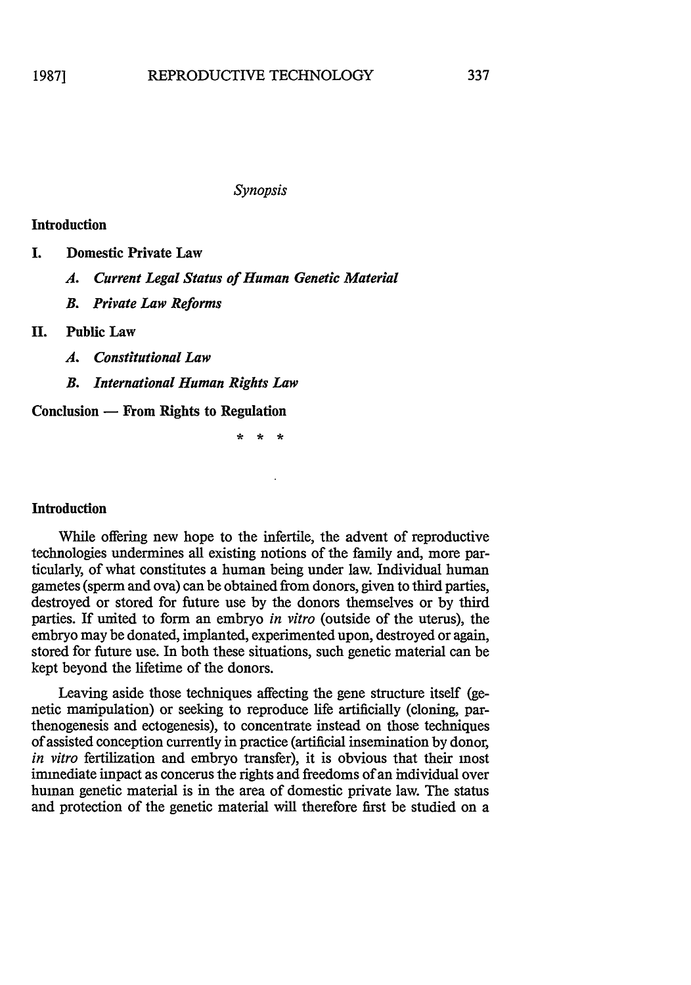### *Synopsis*

### Introduction

- **I.** Domestic Private Law
	- *A. Current Legal Status of Human Genetic Material*
	- *B. Private Law Reforms*

# **II. Public Law**

- *A. Constitutional Law*
- *B. International Human Rights Law*

**Conclusion - From Rights to Regulation**

# Introduction

While offering new hope to the infertile, the advent of reproductive technologies undermines all existing notions of the family and, more particularly, of what constitutes a human being under law. Individual human gametes (sperm and ova) can be obtained from donors, given to third parties, destroyed or stored for future use **by** the donors themselves or **by** third parties. If united to form an embryo *in vitro* (outside of the uterus), the embryo may be donated, implanted, experimented upon, destroyed or again, stored for future use. In both these situations, such genetic material can be kept beyond the lifetime of the donors.

Leaving aside those techniques affecting the gene structure itself (genetic manipulation) or seeking to reproduce life artificially (cloning, parthenogenesis and ectogenesis), to concentrate instead on those techniques of assisted conception currently in practice (artificial insemination **by** donor, *in vitro* fertilization and embryo transfer), it is obvious that their most immediate impact as concerus the rights and freedoms of an individual over human genetic material is in the area of domestic private law. The status and protection of the genetic material will therefore first be studied on a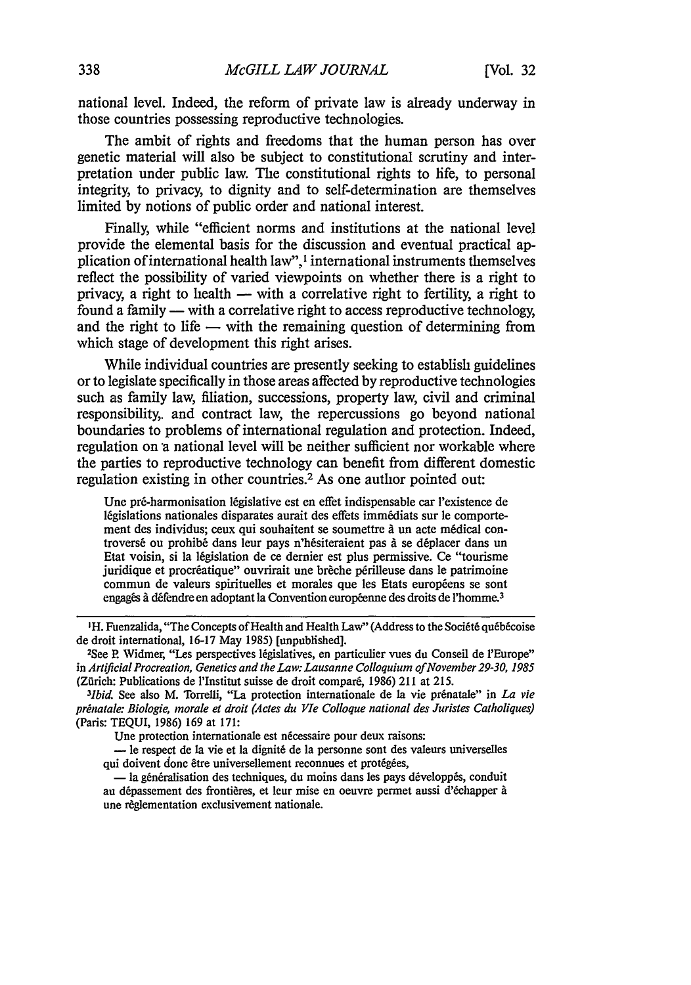national level. Indeed, the reform of private law is already underway in those countries possessing reproductive technologies.

The ambit of rights and freedoms that the human person has over genetic material will also be subject to constitutional scrutiny and interpretation under public law. The constitutional rights to life, to personal integrity, to privacy, to dignity and to self-determination are themselves limited by notions of public order and national interest.

Finally, while "efficient norms and institutions at the national level provide the elemental basis for the discussion and eventual practical application of international health law",<sup>1</sup> international instruments themselves reflect the possibility of varied viewpoints on whether there is a right to privacy, a right to health  $-$  with a correlative right to fertility, a right to found a family **-** with a correlative right to access reproductive technology, and the right to life  $-$  with the remaining question of determining from which stage of development this right arises.

While individual countries are presently seeking to establish guidelines or to legislate specifically in those areas affected by reproductive technologies such as family law, filiation, successions, property law, civil and criminal responsibility,, and contract law, the repercussions go beyond national boundaries to problems of international regulation and protection. Indeed, regulation on a national level will be neither sufficient nor workable where the parties to reproductive technology can benefit from different domestic regulation existing in other countries.<sup>2</sup> As one author pointed out:

Une pr6-harmonisation 16gislative est en effet indispensable car I'existence de legislations nationales disparates aurait des effets imm6diats sur le comportement des individus; ceux qui souhaitent se soumettre à un acte médical controversé ou prohibé dans leur pays n'hésiteraient pas à se déplacer dans un Etat voisin, si la 16gislation de ce dernier est plus permissive. Ce "tourisme juridique et procréatique" ouvrirait une brèche périlleuse dans le patrimoine commun de valeurs spirituelles et morales que les Etats européens se sont engagés à défendre en adoptant la Convention européenne des droits de l'homme.<sup>3</sup>

<sup>3</sup>Ibid. See also M. Torrelli, "La protection internationale de la vie prénatale" in *La vie prnatale: Biologie, morale et droit (Actes du VIe Colloque national des Juristes Catholiques)* (Paris: TEQUI, 1986) 169 at 171:

Une protection internationale est nécessaire pour deux raisons:

**-** le respect de Ia vie et la dignit6 de la personne sont des valeurs universelles qui doivent donc être universellement reconnues et protégées,

- la généralisation des techniques, du moins dans les pays développés, conduit au dépassement des frontières, et leur mise en oeuvre permet aussi d'échapper à une règlementation exclusivement nationale.

<sup>&</sup>lt;sup>1</sup>H. Fuenzalida, "The Concepts of Health and Health Law" (Address to the Société québécoise de droit international, 16-17 May 1985) [unpublished].

See P. Widmer, "Les perspectives 16gislatives, en particulier vues du Conseil de 'Europe" in *Artificial Procreation, Genetics and the Law: Lausanne Colloquium ofNovember 29-30, 1985* (Zürich: Publications de l'Institut suisse de droit comparé, 1986) 211 at 215.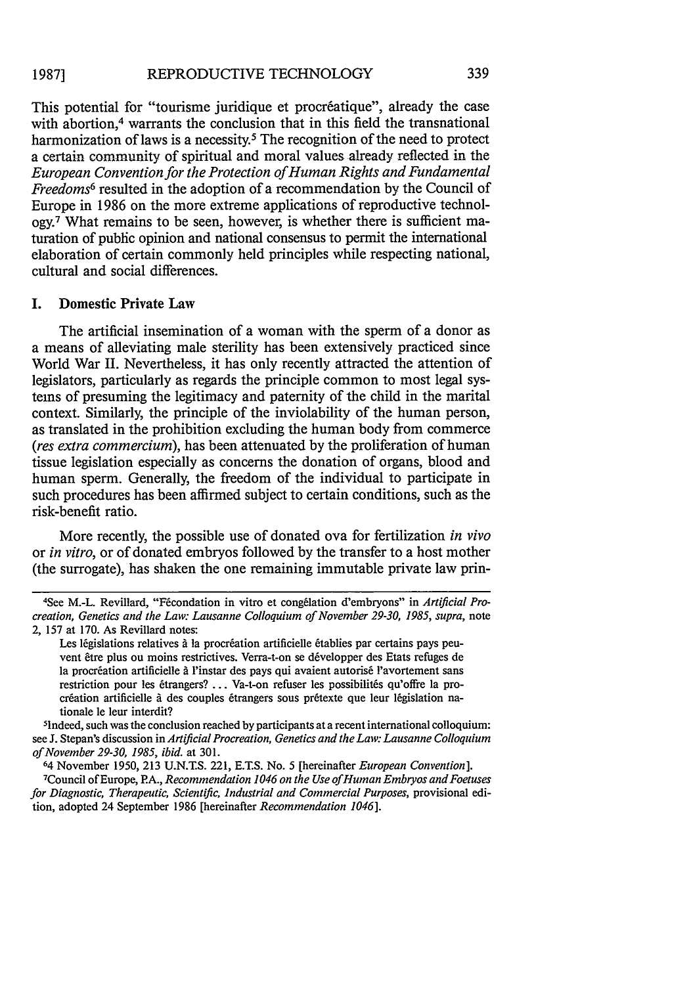This potential for "tourisme juridique et procréatique", already the case with abortion.<sup>4</sup> warrants the conclusion that in this field the transnational harmonization of laws is a necessity.<sup>5</sup> The recognition of the need to protect a certain community of spiritual and moral values already reflected in the *European Convention for the Protection of Human Rights and Fundamental Freedoms6* resulted in the adoption of a recommendation by the Council of Europe in 1986 on the more extreme applications of reproductive technology.7 What remains to be seen, however, is whether there is sufficient maturation of public opinion and national consensus to permit the international elaboration of certain commonly held principles while respecting national, cultural and social differences.

# **I.** Domestic Private Law

The artificial insemination of a woman with the sperm of a donor as a means of alleviating male sterility has been extensively practiced since World War II. Nevertheless, it has only recently attracted the attention of legislators, particularly as regards the principle common to most legal systems of presuming the legitimacy and paternity of the child in the marital context. Similarly, the principle of the inviolability of the human person, as translated in the prohibition excluding the human body from commerce *(res extra commercium),* has been attenuated by the proliferation of human tissue legislation especially as concerns the donation of organs, blood and human sperm. Generally, the freedom of the individual to participate in such procedures has been affirmed subject to certain conditions, such as the risk-benefit ratio.

More recently, the possible use of donated ova for fertilization *in vivo* or *in vitro,* or of donated embryos followed by the transfer to a host mother (the surrogate), has shaken the one remaining immutable private law prin-

<sup>4&</sup>lt;br>4 See M.-L. Revillard, "Fécondation in vitro et congélation d'embryons" in *Artificial Procreation, Genetics and the Law: Lausanne Colloquium of November 29-30, 1985, supra, note* 2, 157 at 170. As Revillard notes:

Les législations relatives à la procréation artificielle établies par certains pays peuvent être plus ou moins restrictives. Verra-t-on se développer des Etats refuges de la procréation artificielle à l'instar des pays qui avaient autorisé l'avortement sans restriction pour les étrangers? ... Va-t-on refuser les possibilités qu'offre la procréation artificielle à des couples étrangers sous prétexte que leur législation nationale le leur interdit? <sup>5</sup>

<sup>1</sup>ndeed, such was the conclusion reached by participants at a recent international colloquium: see J. Stepan's discussion in *Artificial Procreation, Genetics and the Law: Lausanne Colloquium of November 29-30, 1985, ibid.* at 301.

<sup>64</sup>November 1950, 213 U.N.T.S. 221, E.T.S. No. 5 [hereinafter *European Convention].* <sup>7</sup> <sup>7</sup> Council of Europe, P.A., *Recommendation 1046 on the Use of Human Embryos and Foetuses* for Diagnostic, Therapeutic, Scientific, Industrial and Commercial Purposes, provisional edition, adopted 24 September 1986 [hereinafter *Recommendation 1046].*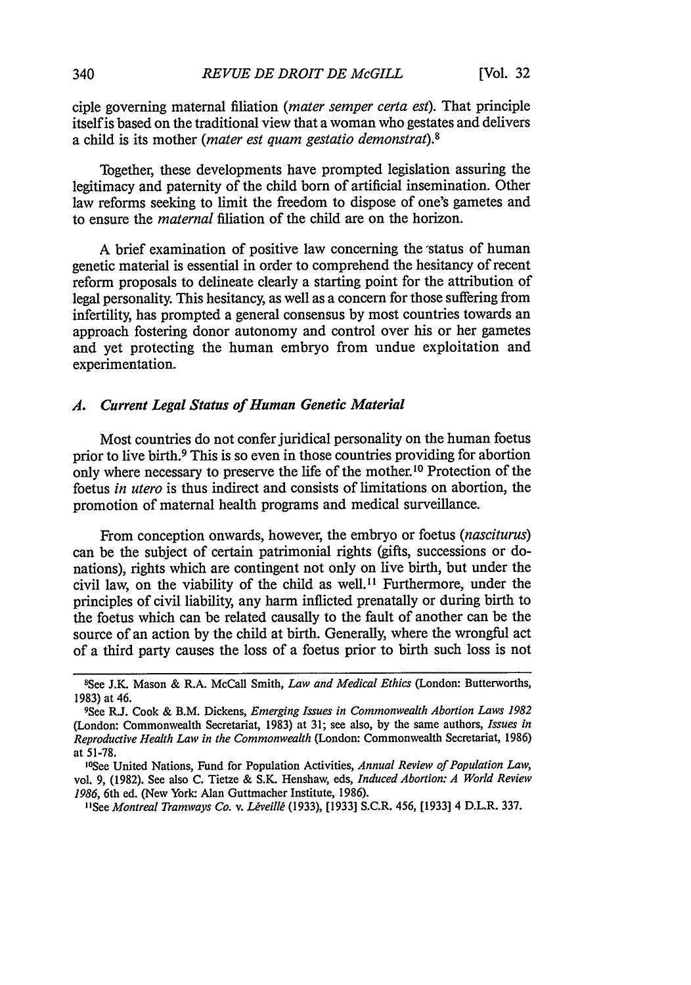ciple governing maternal filiation *(mater semper certa est).* That principle itself is based on the traditional view that a woman who gestates and delivers a child is its mother *(mater est quam gestatio demonstrat).8*

Together, these developments have prompted legislation assuring the legitimacy and paternity of the child born of artificial insemination. Other law reforms seeking to limit the freedom to dispose of one's gametes and to ensure the *maternal* filiation of the child are on the horizon.

A brief examination of positive law concerning the status of human genetic material is essential in order to comprehend the hesitancy of recent reform proposals to delineate clearly a starting point for the attribution of legal personality. This hesitancy, as well as a concern for those suffering from infertility, has prompted a general consensus by most countries towards an approach fostering donor autonomy and control over his or her gametes and yet protecting the human embryo from undue exploitation and experimentation.

### *A. Current Legal Status of Human Genetic Material*

Most countries do not confer juridical personality on the human foetus prior to live birth.9 This is so even in those countries providing for abortion only where necessary to preserve the life of the mother.'0 Protection of the foetus *in utero* is thus indirect and consists of limitations on abortion, the promotion of maternal health programs and medical surveillance.

From conception onwards, however, the embryo or foetus *(nasciturus)* can be the subject of certain patrimonial rights (gifts, successions or donations), rights which are contingent not only on live birth, but under the civil law, on the viability of the child as well.<sup>11</sup> Furthermore, under the principles of civil liability, any harm inflicted prenatally or during birth to the foetus which can be related causally to the fault of another can be the source of an action by the child at birth. Generally, where the wrongful act of a third party causes the loss of a foetus prior to birth such loss is not

<sup>8</sup> See J.K. Mason & R.A. McCall Smith, *Law and Medical Ethics* (London: Butterworths, 1983) at 46.

Sce R.J. Cook & B.M. Dickens, *Emerging Issues in Commonwealth Abortion Laws 1982* (London: Commonwealth Secretariat, 1983) at 31; see also, by the same authors, *Issues in Reproductive Health Law in the Commonwealth* (London: Commonwealth Secretariat, 1986) at 51-78.

<sup>&#</sup>x27; 0 See United Nations, Fund for Population Activities, *Annual Review of Population Law,* vol. 9, (1982). See also C. Tietze & S.K. Henshaw, eds, *Induced Abortion: A World Review 1986,* 6th ed. (New York. Alan Guttmacher Institute, 1986).

<sup>&</sup>lt;sup>11</sup>See *Montreal Tramways Co. v. Léveillé* (1933), [1933] S.C.R. 456, [1933] 4 D.L.R. 337.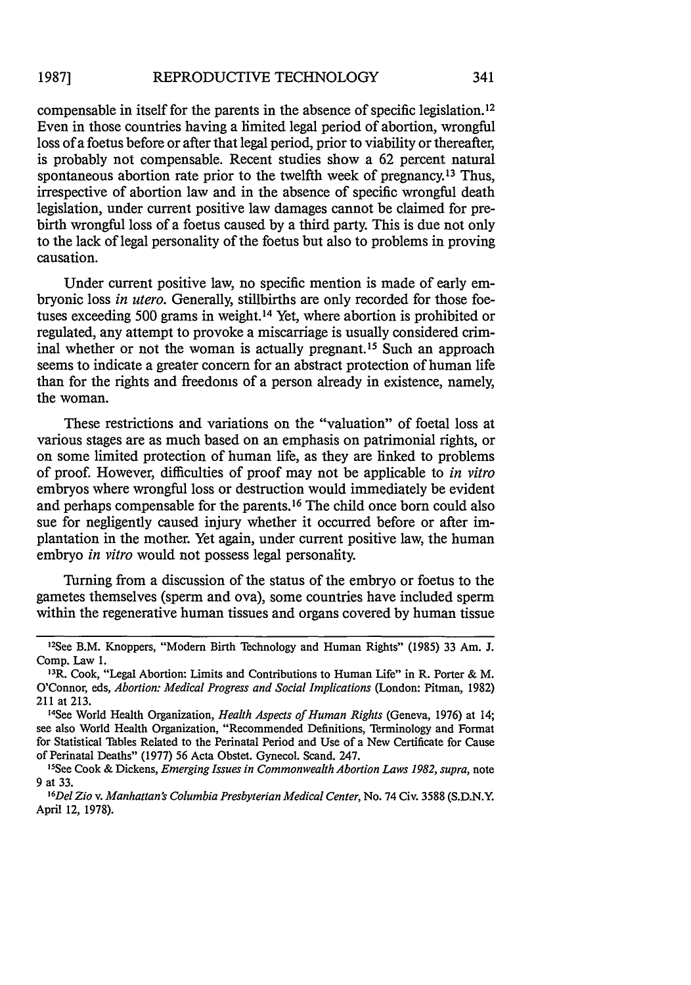compensable in itself for the parents in the absence of specific legislation. <sup>12</sup> Even in those countries having a limited legal period of abortion, wrongful loss of a foetus before or after that legal period, prior to viability or thereafter, is probably not compensable. Recent studies show a 62 percent natural spontaneous abortion rate prior to the twelfth week of pregnancy.<sup>13</sup> Thus, irrespective of abortion law and in the absence of specific wrongful death legislation, under current positive law damages cannot be claimed for prebirth wrongful loss of a foetus caused by a third party. This is due not only to the lack of legal personality of the foetus but also to problems in proving causation.

Under current positive law, no specific mention is made of early embryonic loss *in utero.* Generally, stillbirths are only recorded for those foetuses exceeding 500 grams in weight. 14 Yet, where abortion is prohibited or regulated, any attempt to provoke a miscarriage is usually considered criminal whether or not the woman is actually pregnant.15 Such an approach seems to indicate a greater concern for an abstract protection of human life than for the rights and freedoms of a person already in existence, namely, the woman.

These restrictions and variations on the "valuation" of foetal loss at various stages are as much based on an emphasis on patrimonial rights, or on some limited protection of human life, as they are linked to problems of proof. However, difficulties of proof may not be applicable to *in vitro* embryos where wrongful loss or destruction would immediately be evident and perhaps compensable for the parents. 16 The child once born could also sue for negligently caused injury whether it occurred before or after implantation in the mother. Yet again, under current positive law, the human embryo *in vitro* would not possess legal personality.

Turning from a discussion of the status of the embryo or foetus to the gametes themselves (sperm and ova), some countries have included sperm within the regenerative human tissues and organs covered by human tissue

- 1 3 R. Cook, "Legal Abortion: Limits and Contributions to Human Life" in R. Porter & M. O'Connor, eds, *Abortion: Medical Progress and Social Implications* (London: Pitman, 1982) 211 at 213.
- 1 4 See World Health Organization, *Health Aspects of Human Rights* (Geneva, 1976) at 14; see also World Health Organization, "Recommended Definitions, Terminology and Format for Statistical Tables Related to the Perinatal Period and Use of a New Certificate for Cause of Perinatal Deaths" (1977) 56 Acta Obstet. Gynecol. Scand. 247. 5
- <sup>15</sup>See Cook & Dickens, *Emerging Issues in Commonwealth Abortion Laws 1982, supra, note* 9 at 33.
- *6 Del Zio v. Manhattan's Columbia Presbyterian Medical Center,* No. 74 Civ. 3588 (S.D.N.Y. April 12, 1978).

<sup>1</sup> 2 See B.M. Knoppers, "Modem Birth Technology and Human Rights" (1985) 33 Am. J. Comp. Law **1.**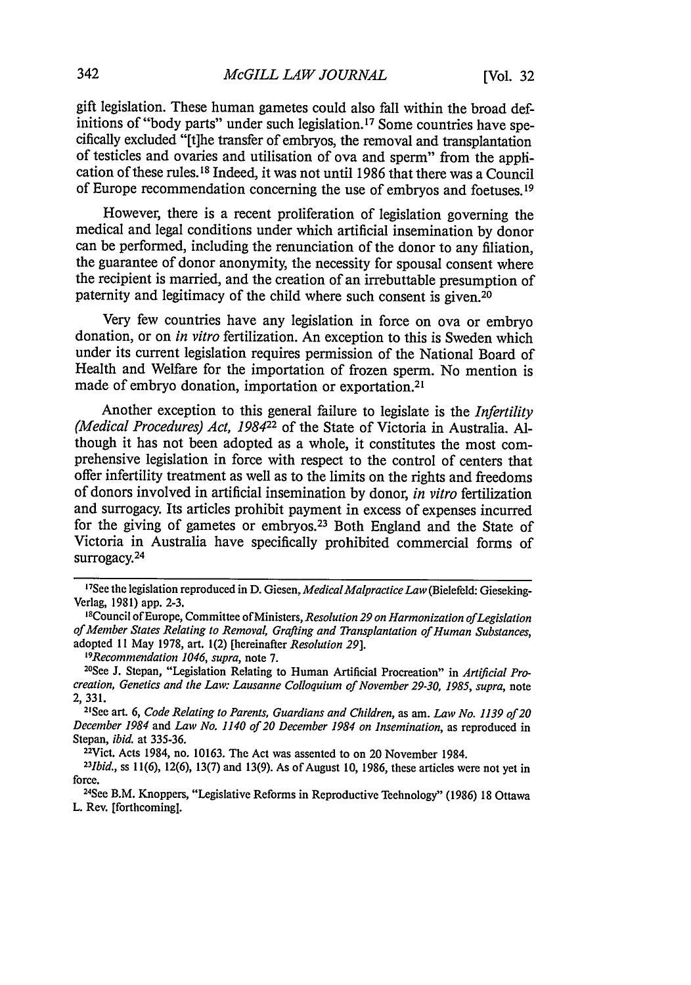gift legislation. These human gametes could also fall within the broad definitions of "body parts" under such legislation.<sup>17</sup> Some countries have specifically excluded "[t]he transfer of embryos, the removal and transplantation of testicles and ovaries and utilisation of ova and sperm" from the application of these rules. 18 Indeed, it was not until 1986 that there was a Council of Europe recommendation concerning the use of embryos and foetuses. <sup>19</sup>

However, there is a recent proliferation of legislation governing the medical and legal conditions under which artificial insemination by donor can be performed, including the renunciation of the donor to any filiation, the guarantee of donor anonymity, the necessity for spousal consent where the recipient is married, and the creation of an irrebuttable presumption of paternity and legitimacy of the child where such consent is given.<sup>20</sup>

Very few countries have any legislation in force on ova or embryo donation, or on *in vitro* fertilization. An exception to this is Sweden which under its current legislation requires permission of the National Board of Health and Welfare for the importation of frozen sperm. No mention is made of embryo donation, importation or exportation.<sup>2</sup>

Another exception to this general failure to legislate is the *Infertility (Medical Procedures) Act, 198422* of the State of Victoria in Australia. Although it has not been adopted as a whole, it constitutes the most comprehensive legislation in force with respect to the control of centers that offer infertility treatment as well as to the limits on the rights and freedoms of donors involved in artificial insemination by donor, *in vitro* fertilization and surrogacy. Its articles prohibit payment in excess of expenses incurred for the giving of gametes or embryos.<sup>23</sup> Both England and the State of Victoria in Australia have specifically prohibited commercial forms of surrogacy.<sup>24</sup>

<sup>19</sup>Recommendation 1046, supra, note 7.

<sup>23</sup>*Ibid.*, ss 11(6), 12(6), 13(7) and 13(9). As of August 10, 1986, these articles were not yet in force.

<sup>24</sup>See B.M. Knoppers, "Legislative Reforms in Reproductive Teehnology" (1986) 18 Ottawa L. Rev. [forthcoming].

<sup>17&</sup>lt;br><sup>17</sup>See the legislation reproduced in D. Giesen, *Medical Malpractice Law* (Bielefeld: Gieseking-Verlag, 1981) app. 2-3. 1 8Council of Europe, Committee ofMinisters, *Resolution 29 on Harmonization ofLegislation*

*ofMember States Relating to Removal, Grafting and Transplantation of Human Substances,* adopted 11 May 1978, art. 1(2) [hereinafter *Resolution 29].*

<sup>&</sup>lt;sup>20</sup>See J. Stepan, "Legislation Relating to Human Artificial Procreation" in *Artificial Procreation, Genetics and the Law: Lausanne Colloquium of November 29-30, 1985, supra, note* 2, 331.

See art. 6, *Code Relating to Parents, Guardians and Children,* as am. *Law No. 1139 of 20 December 1984* and *Law No. 1140 of 20 December 1984 on Insemination,* as reproduced in Stepan, *ibid.* at 335-36.<br><sup>22</sup>Vict. Acts 1984, no. 10163. The Act was assented to on 20 November 1984.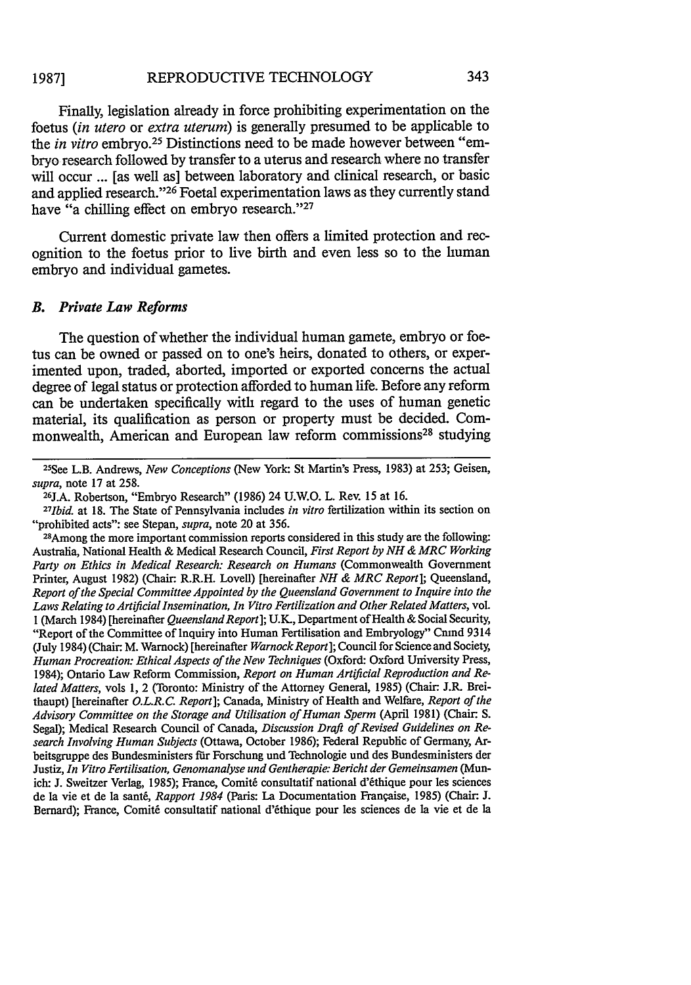Finally, legislation already in force prohibiting experimentation on the foetus *(in utero* or *extra uterum)* is generally presumed to be applicable to the *in vitro* embryo.<sup>25</sup> Distinctions need to be made however between "embryo research followed by transfer to a uterus and research where no transfer will occur ... [as well as] between laboratory and clinical research, or basic and applied research."<sup>26</sup> Foetal experimentation laws as they currently stand have "a chilling effect on embryo research."<sup>27</sup>

Current domestic private law then offers a limited protection and recognition to the foetus prior to live birth and even less so to the human embryo and individual gametes.

### *B. Private Law Reforms*

The question of whether the individual human gamete, embryo or foetus can be owned or passed on to one's heirs, donated to others, or experimented upon, traded, aborted, imported or exported concerns the actual degree of legal status or protection afforded to human life. Before any reform can be undertaken specifically with regard to the uses of human genetic material, its qualification as person or property must be decided. Commonwealth, American and European law reform commissions<sup>28</sup> studying

25 See L.B. Andrews, *New Conceptions* (New York: St Martin's Press, 1983) at 253; Geisen, *supra*, note 17 at 258.

<sup>26</sup>J.A. Robertson, "Embryo Research" (1986) 24 U.W.O. L. Rev. 15 at 16.

*27 Ibid.* at **18.** The State of Pennsylvania includes *in vitro* fertilization within its section on "prohibited acts": see Stepan, *supra,* note 20 at 356.

28 Among the more important commission reports considered in this study are the following: Australia, National Health & Medical Research Council, *First Report by NH & MRC Working Party on Ethics in Medical Research: Research on Humans* (Commonwealth Government Printer, August 1982) (Chair: R.R.H. Lovell) [hereinafter *NH & MRC Report*]; Queensland, *Report of the Special Committee Appointed by the Queensland Government to Inquire into the Laws Relating to Artificial Insemination, In Vitro Fertilization and Other Related Matters,* vol. 1 (March 1984) [hereinafter *Queensland Report*]; U.K., Department of Health & Social Security, "Report of the Committee of Inquiry into Human Fertilisation and Embryology" Cmnd 9314 (July 1984) (Chair. M. Warnock) [hereinafter *WarnockReport];* Council for Science and Society, *Human Procreation: Ethical Aspects of the New Techniques* (Oxford: Oxford University Press, 1984); Ontario Law Reform Commission, *Report on Human Artificial Reproduction and Related Matters, vols 1, 2 (Toronto: Ministry of the Attorney General, 1985) (Chair: J.R. Brei*thaupt) [hereinafter *O.L.R.C. Report];* Canada, Ministry of Health and Welfare, *Report of the Advisory Committee on the Storage and Utilisation of Human Sperm* (April 1981) (Chair. S. Segal); Medical Research Council of Canada, *Discussion Draft of Revised Guidelines on Research Involving Human Subjects* (Ottawa, October 1986); Federal Republic of Germany, Arbeitsgruppe des Bundesministers fur Forschung und Technologie und des Bundesministers der Justiz, *In Vitro Fertilisation, Genomanalyse und Gentherapie: Bericht der Gemeinsamen* (Munich: J. Sweitzer Verlag, 1985); France, Comit6 consultatif national d'6thique pour les sciences de la vie et de la santé, *Rapport 1984* (Paris: La Documentation Française, 1985) (Chair: J. Bernard); France, Comité consultatif national d'éthique pour les sciences de la vie et de la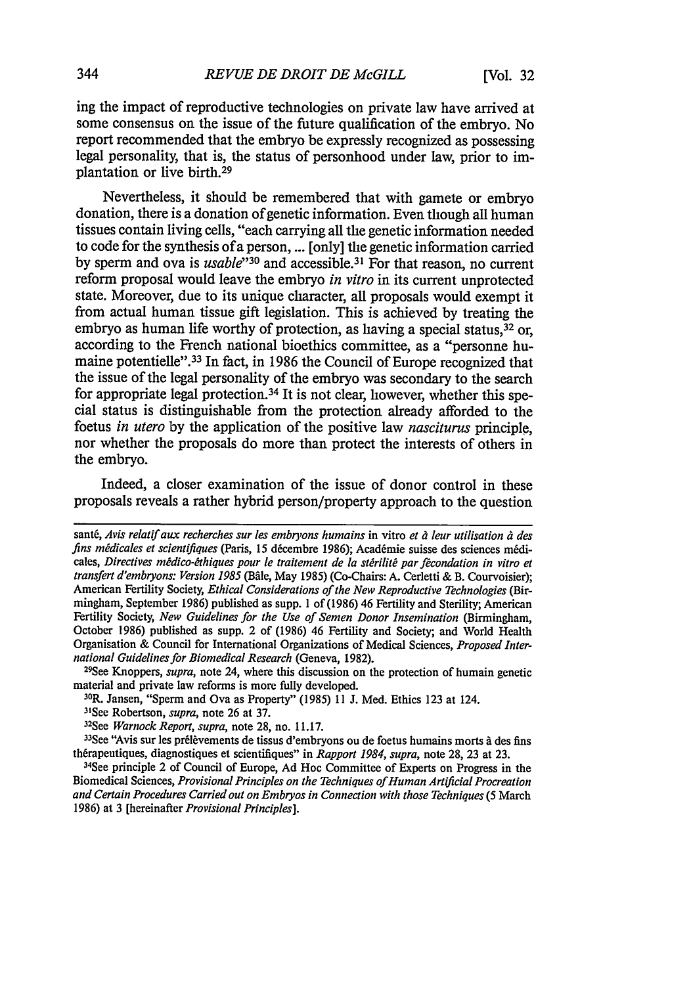ing the impact of reproductive technologies on private law have arrived at some consensus on the issue of the future qualification of the embryo. No report recommended that the embryo be expressly recognized as possessing legal personality, that is, the status of personhood under law, prior to implantation or live birth. <sup>29</sup>

Nevertheless, it should be remembered that with gamete or embryo donation, there is a donation of genetic information. Even though all human tissues contain living cells, "each carrying all the genetic information needed to code for the synthesis of a person, ... [only] the genetic information carried by sperm and ova is *usable*<sup>30</sup> and accessible.<sup>31</sup> For that reason, no current reform proposal would leave the embryo *in vitro* in its current unprotected state. Moreover, due to its unique character, all proposals would exempt it from actual human tissue gift legislation. This is achieved by treating the embryo as human life worthy of protection, as having a special status,  $32$  or, according to the French national bioethics committee, as a "personne humaine potentielle".<sup>33</sup> In fact, in 1986 the Council of Europe recognized that the issue of the legal personality of the embryo was secondary to the search for appropriate legal protection.<sup>34</sup> It is not clear, however, whether this special status is distinguishable from the protection already afforded to the foetus *in utero* by the application of the positive law *nasciturus* principle, nor whether the proposals do more than protect the interests of others in the embryo.

Indeed, a closer examination of the issue of donor control in these proposals reveals a rather hybrid person/property approach to the question

<sup>29</sup>See Knoppers, *supra*, note 24, where this discussion on the protection of humain genetic material and private law reforms is more fully developed.

sant&, Avis *relatif aux* recherches *sur les embryons humains* in vitro *et d leur utilisation* ,i *des fins médicales et scientifiques* (Paris, 15 décembre 1986); Académie suisse des sciences médicales, *Directives médico-éthiques pour le traitement de la stérilité par fécondation in vitro et* transfert d'embryons: Version 1985 (Bâle, May 1985) (Co-Chairs: A. Cerletti & B. Courvoisier); American Fertility Society, *Ethical Considerations of the New Reproductive Technologies* (Birmingham, September 1986) published as supp. 1 of (1986) 46 Fertility and Sterility; American Fertility Society, *New Guidelines for the Use of Semen Donor Insemination* (Birmingham, October 1986) published as supp. 2 of (1986) 46 Fertility and Society; and World Health Organisation & Council for International Organizations of Medical Sciences, *Proposed International Guidelines for Biomedical Research (Geneva, 1982).* 

R. Jansen, "Sperm and Ova as Property" (1985) 11 **J.** Med. Ethics 123 at 124.

<sup>&</sup>lt;sup>31</sup>See Robertson, *supra*, note 26 at 37.

See *Warnock Report, supra,* note 28, no. 11.17.

<sup>&</sup>lt;sup>33</sup> See "Avis sur les prélèvements de tissus d'embryons ou de foetus humains morts à des fins thérapeutiques, diagnostiques et scientifiques" in *Rapport 1984, supra,* note 28, 23 at 23.

<sup>&</sup>lt;sup>34</sup>See principle 2 of Council of Europe, Ad Hoc Committee of Experts on Progress in the Biomedical Sciences, *Provisional Principles on the Techniques of Human Artificial Procreation and Certain Procedures Carried out on Embryos in Connection with those Techniques* (5 March 1986) at 3 [hereinafter *Provisional Principles].*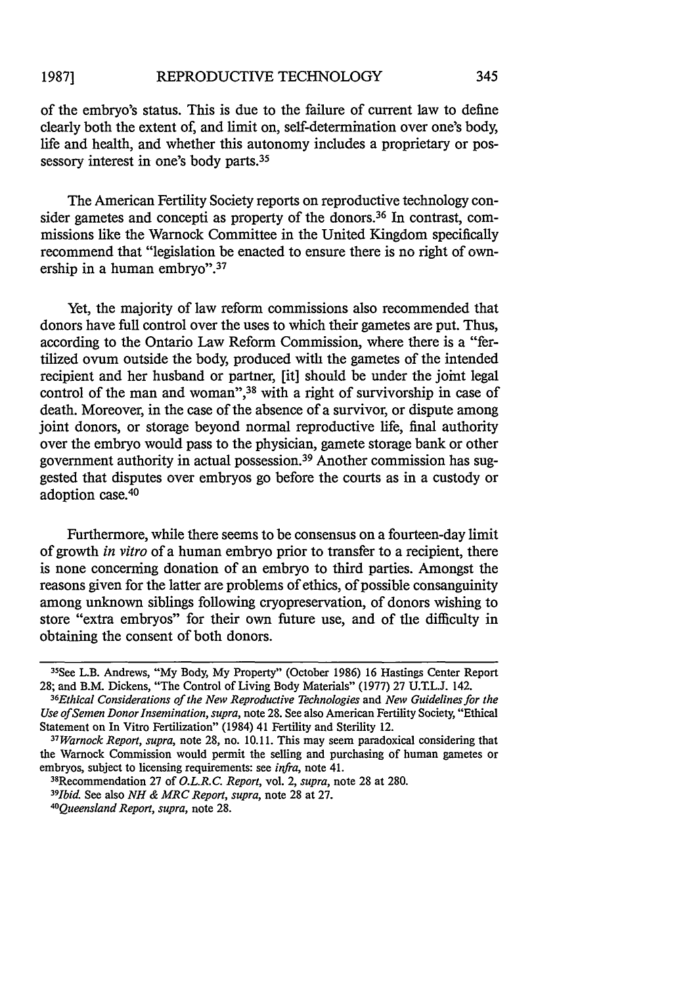of the embryo's status. This is due to the failure of current law to define clearly both the extent of, and limit on, self-determination over one's body, life and health, and whether this autonomy includes a proprietary or possessory interest in one's body parts.<sup>35</sup>

The American Fertility Society reports on reproductive technology consider gametes and concepti as property of the donors.<sup>36</sup> In contrast, commissions like the Warnock Committee in the United Kingdom specifically recommend that "legislation be enacted to ensure there is no right of ownership in a human embryo".<sup>37</sup>

Yet, the majority of law reform commissions also recommended that donors have full control over the uses to which their gametes are put. Thus, according to the Ontario Law Reform Commission, where there is a "fertilized ovum outside the body, produced with the gametes of the intended recipient and her husband or partner, [it] should be under the joint legal control of the man and woman",<sup>38</sup> with a right of survivorship in case of death. Moreover, in the case of the absence of a survivor, or dispute among joint donors, or storage beyond normal reproductive life, final authority over the embryo would pass to the physician, gamete storage bank or other government authority in actual possession. 39 Another commission has suggested that disputes over embryos go before the courts as in a custody or adoption case.<sup>40</sup>

Furthermore, while there seems to be consensus on a fourteen-day limit of growth *in vitro* of a human embryo prior to transfer to a recipient, there is none concerning donation of an embryo to third parties. Amongst the reasons given for the latter are problems of ethics, of possible consanguinity among unknown siblings following cryopreservation, of donors wishing to store "extra embryos" for their own future use, and of the difficulty in obtaining the consent of both donors.

<sup>3</sup> 5 See L.B. Andrews, "My Body, My Property" (October 1986) 16 Hastings Center Report 28; and B.M. Dickens, "The Control of Living Body Materials" (1977) 27 U.T.L.J. 142. *6*

*<sup>3</sup> Ethical Considerations of the New Reproductive Technologies* and *New Guidelines for the Use of Semen Donor Insemination, supra,* note 28. See also American Fertility Society, "Ethical Statement on In Vitro Fertilization" (1984) 41 Fertility and Sterility 12. *37 Warnock Report, supra,* note 28, no. 10.11. This may seem paradoxical considering that

the Warnock Commission would permit the selling and purchasing of human gametes or embryos, subject to licensing requirements: see *infra,* note 41.

<sup>&</sup>lt;sup>38</sup>Recommendation 27 of *O.L.R.C. Report,* vol. 2, *supra*, note 28 at 280.

*Ibid.* See also *NH & MRC Report, supra,* note 28 at 27. *<sup>40</sup>*

*Queensland Report, supra,* note 28.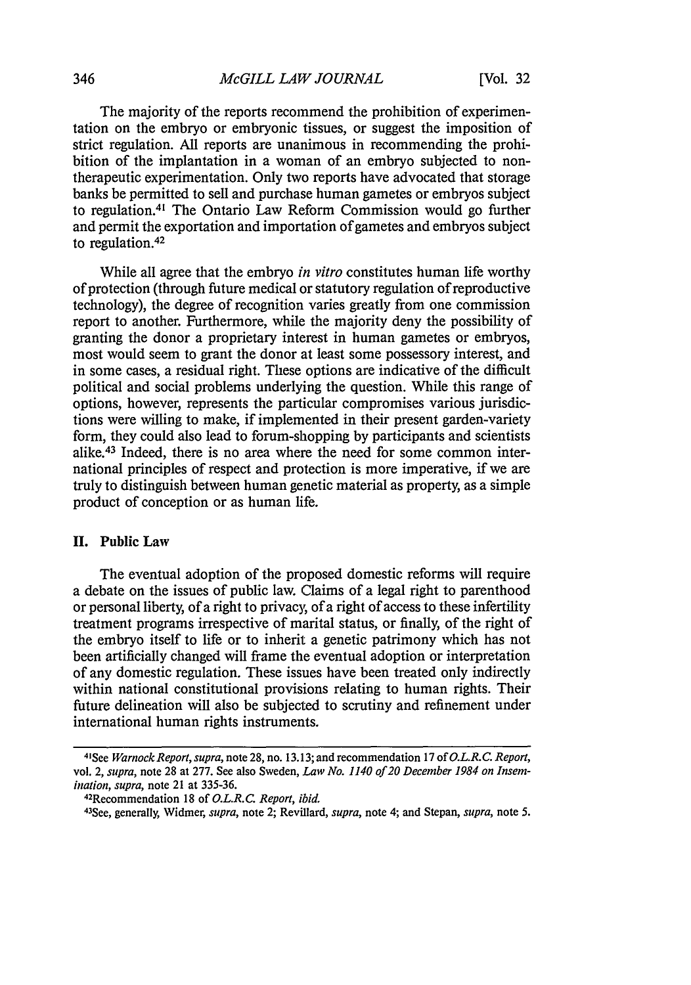The majority of the reports recommend the prohibition of experimentation on the embryo or embryonic tissues, or suggest the imposition of strict regulation. All reports are unanimous in recommending the prohibition of the implantation in a woman of an embryo subjected to nontherapeutic experimentation. Only two reports have advocated that storage banks be permitted to sell and purchase human gametes or embryos subject to regulation.4' The Ontario Law Reform Commission would go further and permit the exportation and importation of gametes and embryos subject to regulation.<sup>42</sup>

While all agree that the embryo *in vitro* constitutes human life worthy of protection (through future medical or statutory regulation of reproductive technology), the degree of recognition varies greatly from one commission report to another. Furthermore, while the majority deny the possibility of granting the donor a proprietary interest in human gametes or embryos, most would seem to grant the donor at least some possessory interest, and in some cases, a residual right. These options are indicative of the difficult political and social problems underlying the question. While this range of options, however, represents the particular compromises various jurisdictions were willing to make, if implemented in their present garden-variety form, they could also lead to forum-shopping by participants and scientists alike. 43 Indeed, there is no area where the need for some common international principles of respect and protection is more imperative, if we are truly to distinguish between human genetic material as property, as a simple product of conception or as human life.

# **II.** Public Law

The eventual adoption of the proposed domestic reforms will require a debate on the issues of public law. Claims of a legal right to parenthood or personal liberty, of a right to privacy of a right of access to these infertility treatment programs irrespective of marital status, or finally, of the right of the embryo itself to life or to inherit a genetic patrimony which has not been artificially changed will frame the eventual adoption or interpretation of any domestic regulation. These issues have been treated only indirectly within national constitutional provisions relating to human rights. Their future delineation will also be subjected to scrutiny and refinement under international human rights instruments.

42Recommendation 18 of *O.L.R.C. Report, ibid.*

<sup>4</sup>t See *Warnock Report, supra,* note 28, no. 13.13; and recommendation 17 of *O.L.R.C. Report,* vol. 2, *supra*, note 28 at 277. See also Sweden, *Law No. 1140 of 20 December 1984 on Insem*ination, *supra,* note 21 at 335-36.

<sup>43</sup> See, generally, Widmer, *supra,* note 2; Revillard, *supra,* note 4; and Stepan, *supra,* note 5.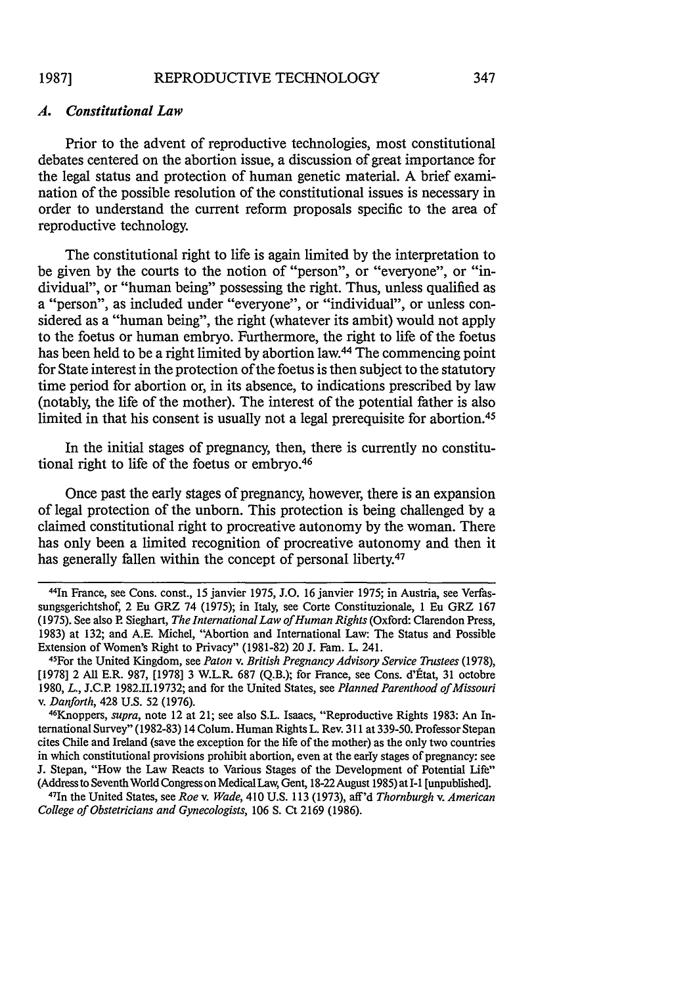### *A. Constitutional Law*

Prior to the advent of reproductive technologies, most constitutional debates centered on the abortion issue, a discussion of great importance for the legal status and protection of human genetic material. A brief examination of the possible resolution of the constitutional issues is necessary in order to understand the current reform proposals specific to the area of reproductive technology.

The constitutional right to life is again limited by the interpretation to be given by the courts to the notion of "person", or "everyone", or "individual", or "human being" possessing the right. Thus, unless qualified as a "person", as included under "everyone", or "individual", or unless considered as a "human being", the right (whatever its ambit) would not apply to the foetus or human embryo. Furthermore, the right to life of the foetus has been held to be a right limited by abortion law.<sup>44</sup> The commencing point for State interest in the protection of the foetus is then subject to the statutory time period for abortion or, in its absence, to indications prescribed by law (notably, the life of the mother). The interest of the potential father is also limited in that his consent is usually not a legal prerequisite for abortion.<sup>45</sup>

In the initial stages of pregnancy, then, there is currently no constitutional right to life of the foetus or embryo.<sup>46</sup>

Once past the early stages of pregnancy, however, there is an expansion of legal protection of the unborn. This protection is being challenged by a claimed constitutional right to procreative autonomy by the woman. There has only been a limited recognition of procreative autonomy and then it has generally fallen within the concept of personal liberty.<sup>47</sup>

1n the United States, see *Roe v. Wade,* 410 U.S. 113 (1973), aff'd *Thornburgh v. American College of Obstetricians and Gynecologists,* 106 **S.** Ct 2169 (1986).

<sup>44</sup>In France, see Cons. const., 15 janvier 1975, J.O. 16 janvier 1975; in Austria, see Verfassungsgerichtshof, 2 Eu GRZ 74 (1975); in Italy, see Corte Constituzionale, 1 Eu GRZ 167 (1975). See also R Sieghart, *The International Law of Human Rights* (Oxford: Clarendon Press, 1983) at 132; and A.E. Michel, "Abortion and International Law: The Status and Possible Extension of Women's Right to Privacy" (1981-82) 20 J. Fam. L. 241.

<sup>45</sup>For the United Kingdom, see *Paton v. British Pregnancy Advisory Service Trustees* (1978), [1978] 2 All E.R. 987, [1978] 3 W.L.R. 687 (Q.B.); for France, see Cons. d'État, 31 octobre 1980, *L.,* J.C.R 1982.11.19732; and for the United States, see *Planned Parenthood of Missouri v. Danforth, 428 U.S. 52 (1976).* 

Knoppers, *supra,* note 12 at 21; see also S.L. Isaacs, "Reproductive Rights 1983: An International Survey" (1982-83) 14 Colum. Human Rights L. Rev. 311 at 339-50. Professor Stepan cites Chile and Ireland (save the exception for the life of the mother) as the only two countries in which constitutional provisions prohibit abortion, even at the early stages of pregnancy: see J. Stepan, "How the Law Reacts to Various Stages of the Development of Potential Life" (Address to Seventh World Congress on Medical Law, Gent, 18-22 August 1985) at I-1 [unpublished]. <sup>47</sup>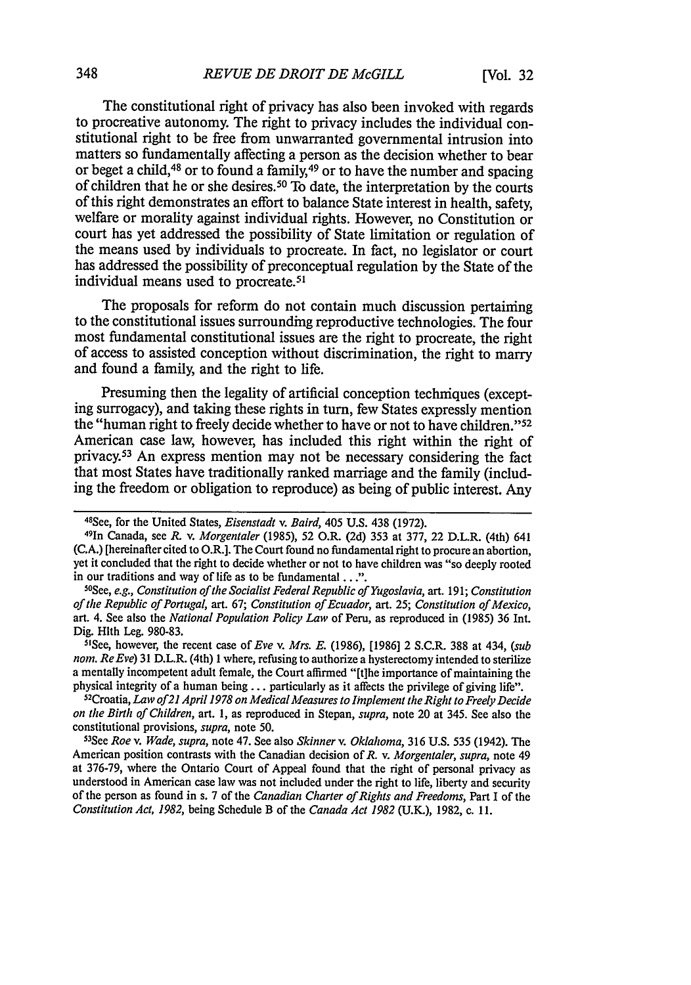The constitutional right of privacy has also been invoked with regards to procreative autonomy. The right to privacy includes the individual constitutional right to be free from unwarranted governmental intrusion into matters so fundamentally affecting a person as the decision whether to bear or beget a child,48 or to found a family,49 or to have the number and spacing of children that he or she desires.50 To date, the interpretation by the courts of this right demonstrates an effort to balance State interest in health, safety, welfare or morality against individual rights. However, no Constitution or court has yet addressed the possibility of State limitation or regulation of the means used by individuals to procreate. In fact, no legislator or court has addressed the possibility of preconceptual regulation by the State of the individual means used to procreate.<sup>51</sup>

The proposals for reform do not contain much discussion pertaining to the constitutional issues surrounding reproductive technologies. The four most fundamental constitutional issues are the right to procreate, the right of access to assisted conception without discrimination, the right to marry and found a family, and the right to life.

Presuming then the legality of artificial conception techniques (excepting surrogacy), and taking these rights in turn, few States expressly mention the "human right to freely decide whether to have or not to have children." <sup>52</sup> American case law, however, has included this right within the right of privacy.<sup>53</sup> An express mention may not be necessary considering the fact that most States have traditionally ranked marriage and the family (including the freedom or obligation to reproduce) as being of public interest. Any

*See, e.g., Constitution of the Socialist Federal Republic of Yugoslavia,* art. 191; *Constitution of the Republic of Portugal,* art. 67; *Constitution of Ecuador,* art. 25; *Constitution of Mexico,* art. 4. See also the *National Population Policy Law* of Peru, as reproduced in (1985) 36 Int. Dig. Hith Leg. 980-83. <sup>5</sup> See, however, the recent case *of Eve v. Mrs. E.* (1986), [1986] 2 S.C.R. 388 at 434, *(sub*

*nom. Re Eve)* 31 D.L.R. (4th) **I** where, refusing to authorize a hysterectomy intended to sterilize a mentally incompetent adult female, the Court affirmed "[tihe importance of maintaining the physical integrity of a human being.., particularly as it affects the privilege of giving life". <sup>52</sup>

Croatia, *Law of2l April 1978 on Medical Measures to Implement the Right to Freely Decide on the Birth of Children,* art. 1, as reproduced in Stepan, *supra,* note 20 at 345. See also the constitutional provisions, *supra*, note 50.

3See *Roe v. Wade, supra,* note 47. See also *Skinner v. Oklahoma,* 316 U.S. 535 (1942). The American position contrasts with the Canadian decision of *R.* v. *Morgentaler, supra,* note 49 at 376-79, where the Ontario Court of Appeal found that the right of personal privacy as understood in American case law was not included under the right to life, liberty and security of the person as found in s. 7 of the *Canadian Charter of Rights and Freedoms,* Part I of the *Constitution Act, 1982,* being Schedule B of the *Canada Act 1982* (U.K.), 1982, c. **11.**

<sup>48</sup> See, for the United States, *Eisenstadt v. Baird*, 405 U.S. 438 (1972)

<sup>1</sup>n Canada, see *R.* v. *Morgentaler* **(1985),** 52 O.R. (2d) 353 at 377, 22 D.L.R. (4th) 641 (C.A.) [hereinafter cited to O.R.]. The Court found no fundamental right to procure an abortion, yet it concluded that the right to decide whether or not to have children was "so deeply rooted in our traditions and way of life as to be fundamental ...".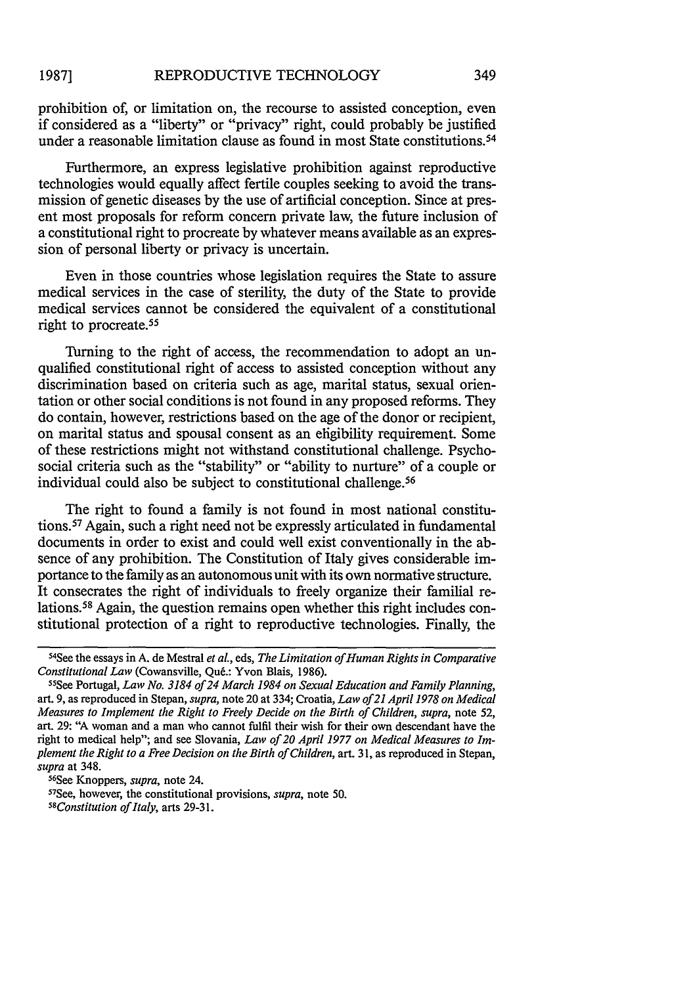prohibition of, or limitation on, the recourse to assisted conception, even if considered as a "liberty" or "privacy" right, could probably be justified under a reasonable limitation clause as found in most State constitutions.<sup>54</sup>

Furthermore, an express legislative prohibition against reproductive technologies would equally affect fertile couples seeking to avoid the transmission of genetic diseases by the use of artificial conception. Since at present most proposals for reform concern private law, the future inclusion of a constitutional right to procreate by whatever means available as an expression of personal liberty or privacy is uncertain.

Even in those countries whose legislation requires the State to assure medical services in the case of sterility, the duty of the State to provide medical services cannot be considered the equivalent of a constitutional right to procreate. <sup>55</sup>

Turning to the right of access, the recommendation to adopt an unqualified constitutional right of access to assisted conception without any discrimination based on criteria such as age, marital status, sexual orientation or other social conditions is not found in any proposed reforms. They do contain, however, restrictions based on the age of the donor or recipient, on marital status and spousal consent as an eligibility requirement. Some of these restrictions might not withstand constitutional challenge. Psychosocial criteria such as the "stability" or "ability to nurture" of a couple or individual could also be subject to constitutional challenge. <sup>56</sup>

The right to found a family is not found in most national constitutions. 57 Again, such a right need not be expressly articulated in fundamental documents in order to exist and could well exist conventionally in the absence of any prohibition. The Constitution of Italy gives considerable importance to the family as an autonomous unit with its own normative structure. It consecrates the right of individuals to freely organize their familial relations.58 Again, the question remains open whether this right includes constitutional protection of a right to reproductive technologies. Finally, the

<sup>56</sup>See Knoppers, *supra*, note 24.

See, however, the constitutional provisions, *supra,* note 50.

*58 Constitution of Italy,* arts 29-31.

S 4 See the essays in A. de Mestral *et aL,* eds, *The Limitation of Human Rights in Comparative Constitutional Law (Cowansville, Qué.: Yvon Blais, 1986).* 

See Portugal, *Law No. 3184 of 24 March 1984 on Sexual Education and Family Planning,* art. 9, as reproduced in Stepan, *supra,* note 20 at 334; Croatia, *Law of21 April 1978 on Medical Measures to Implement the Right to Freely Decide on the Birth of Children, supra,* note 52, art. 29: "A woman and a man who cannot fulfil their wish for their own descendant have the right to medical help"; and see Slovania, *Law of 20 April 1977 on Medical Measures to Implement the Right to a Free Decision on the Birth of Children,* art. 31, as reproduced in Stepan, *supra* at 348.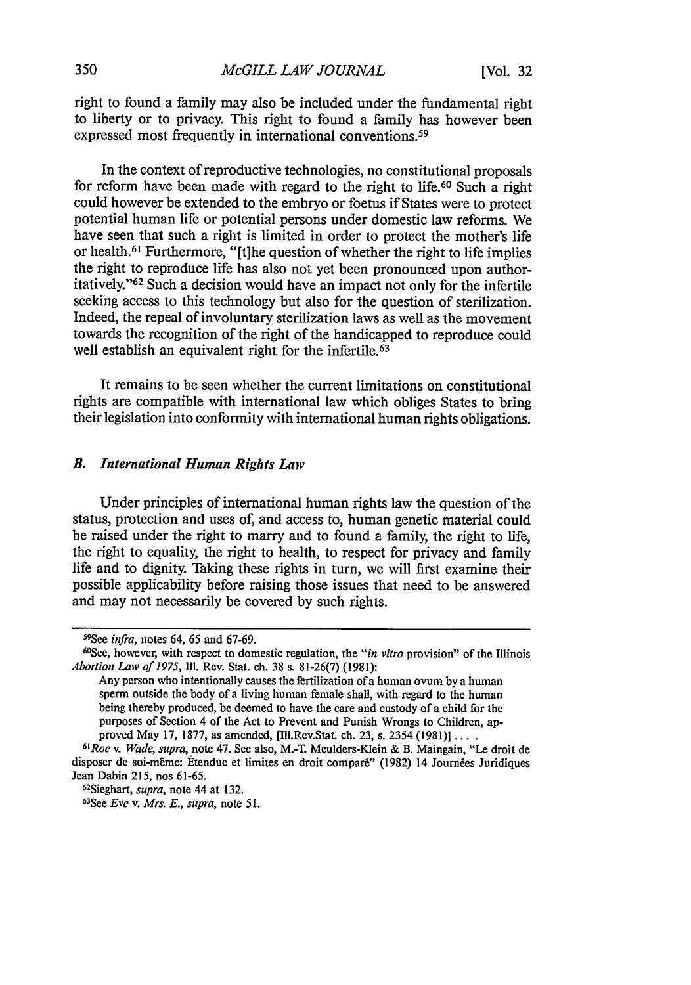right to found a family may also be included under the fundamental right to liberty or to privacy. This right to found a family has however been expressed most frequently in international conventions.<sup>59</sup>

In the context of reproductive technologies, no constitutional proposals for reform have been made with regard to the right to life. 60 Such a right could however be extended to the embryo or foetus if States were to protect potential human life or potential persons under domestic law reforms. We have seen that such a right is limited in order to protect the mother's life or health.<sup>61</sup> Furthermore, "[t]he question of whether the right to life implies the right to reproduce life has also not yet been pronounced upon authoritatively."<sup>62</sup> Such a decision would have an impact not only for the infertile seeking access to this technology but also for the question of sterilization. Indeed, the repeal of involuntary sterilization laws as well as the movement towards the recognition of the right of the handicapped to reproduce could well establish an equivalent right for the infertile.<sup>63</sup>

It remains to be seen whether the current limitations on constitutional rights are compatible with international law which obliges States to bring their legislation into conformity with international human rights obligations.

# *B. International Human Rights Lav*

Under principles of international human rights law the question of the status, protection and uses of, and access to, human genetic material could be raised under the right to marry **and** to found a family, the right to life, the right to equality, the right to health, to respect for privacy and family life and to dignity. Taking these rights in turn, we will first examine their possible applicability before raising those issues that need to be answered and may not necessarily be covered **by** such rights.

<sup>&</sup>lt;sup>59</sup>See *infra*, notes 64, 65 and 67-69.

See, however, with respect to domestic regulation, the *"in vitro* provision" of the Illinois *Abortion Law of 1975,* **I11.** Rev. Stat. ch. 38 s. 81-26(7) (1981):

Any person who intentionally causes the fertilization of a human ovum by a human sperm outside the body of a living human female shall, with regard to the human being thereby produced, be deemed to have the care and custody of a child for the purposes of Section 4 of the Act to Prevent and Punish Wrongs to Children, approved May 17, 1877, as amended, [Ill.Rev.Stat. ch. 23, s. 2354 (1981)] ....

*Roe v. Wade, supra,* note 47. See also, M.-T. Meulders-Klein & B. Maingain, "Le droit de disposer de soi-même: Étendue et limites en droit comparé" (1982) 14 Journées Juridiques Jean Dabin 215, nos 61-65.

<sup>&</sup>lt;sup>62</sup>Sieghart, *supra*, note 44 at 132.

See *Eve v. Mrs. E., supra,* note *51.*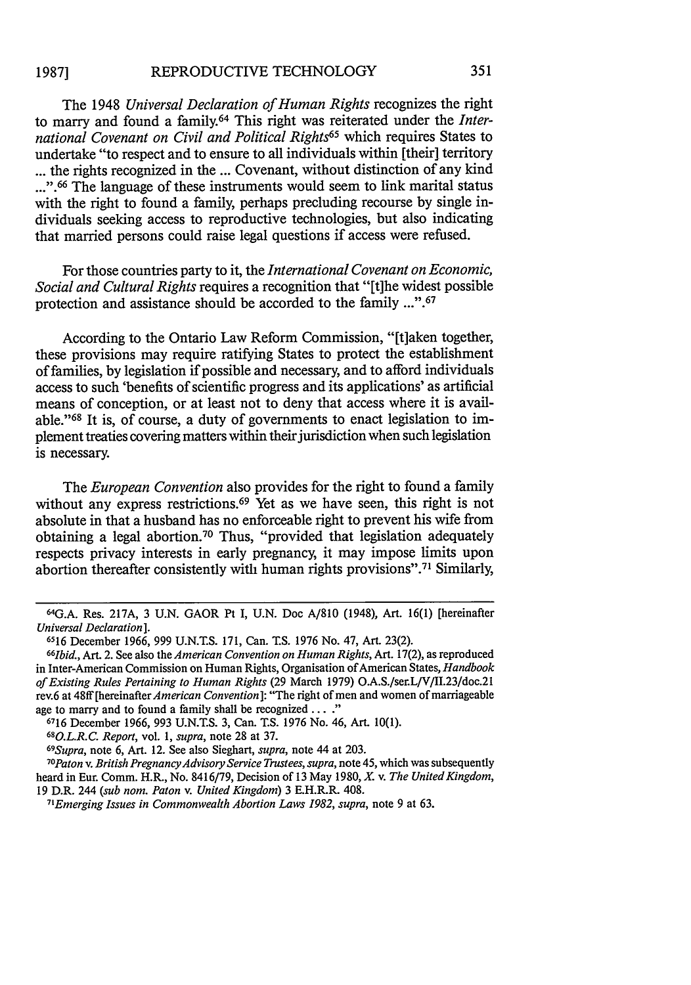The 1948 *Universal Declaration of Human Rights* recognizes the right to marry and found a family.64 This right was reiterated under the *International Covenant on Civil and Political Rights65* which requires States to undertake "to respect and to ensure to all individuals within [theirl territory **...** the rights recognized in the ... Covenant, without distinction of any kind ...".<sup>66</sup> The language of these instruments would seem to link marital status with the right to found a family, perhaps precluding recourse by single individuals seeking access to reproductive technologies, but also indicating that married persons could raise legal questions if access were refused.

For those countries party to it, the *International Covenant on Economic, Social and Cultural Rights* requires a recognition that "[t]he widest possible protection and assistance should be accorded to the family ...".<sup>67</sup>

According to the Ontario Law Reform Commission, "[t]aken together, these provisions may require ratifying States to protect the establishment of families, by legislation if possible and necessary, and to afford individuals access to such 'benefits of scientific progress and its applications' as artificial means of conception, or at least not to deny that access where it is available."<sup>68</sup> It is, of course, a duty of governments to enact legislation to implement treaties covering matters within their jurisdiction when such legislation is necessary.

The *European Convention* also provides for the right to found a family without any express restrictions.<sup>69</sup> Yet as we have seen, this right is not absolute in that a husband has no enforceable right to prevent his wife from obtaining a legal abortion.70 Thus, "provided that legislation adequately respects privacy interests in early pregnancy, it may impose limits upon abortion thereafter consistently with human rights provisions".71 Similarly,

<sup>64</sup> G.A. Res. 217A, 3 U.N. GAOR Pt I, U.N. Doc A/810 (1948), Art. 16(1) [hereinafter *Universal Declaration].*

<sup>6516</sup> December 1966, 999 U.N.T.S. 171, Can. T.S. 1976 No. 47, Art. 23(2). *<sup>66</sup> Ibid.,* Art. 2. See also the *American Convention on Human Rights,* Art. 17(2), as reproduced in Inter-American Commission on Human Rights, Organisation of American States, *Handbook of Existing Rules Pertaining to Human Rights* (29 March 1979) O.A.S./ser.L/V/II.23/doc.21 rev.6 at 48ff [hereinafter *American Convention*]: "The right of men and women of marriageable age to marry and to found a family shall be recognized . . . ."

age to marry and to found a family shall be recognized **...."** 6716 December 1966, 993 U.N.T.S. 3, Can. **T.S.** 1976 No. 46, Art. 10(1). *<sup>68</sup>*

*<sup>0.</sup>L.R.C. Report,* vol. 1, *supra,* note 28 at 37. *<sup>69</sup>*

*Supra,* note 6, Art. 12. See also Sieghart, *supra,* note 44 at 203. *70Paton v. British PregnancyAdvisory Service Trustees, supra,* note 45, which was subsequently heard in Eur. Comm. H.R., No. 8416/79, Decision of 13 May 1980, *X.* v. *The United Kingdom,* 19 D.R. 244 *(sub nom. Paton v. United Kingdom)* 3 E.H.R.R. 408.

*<sup>7</sup> Emerging Issues in Commonwealth Abortion Laws 1982, supra,* note 9 at 63.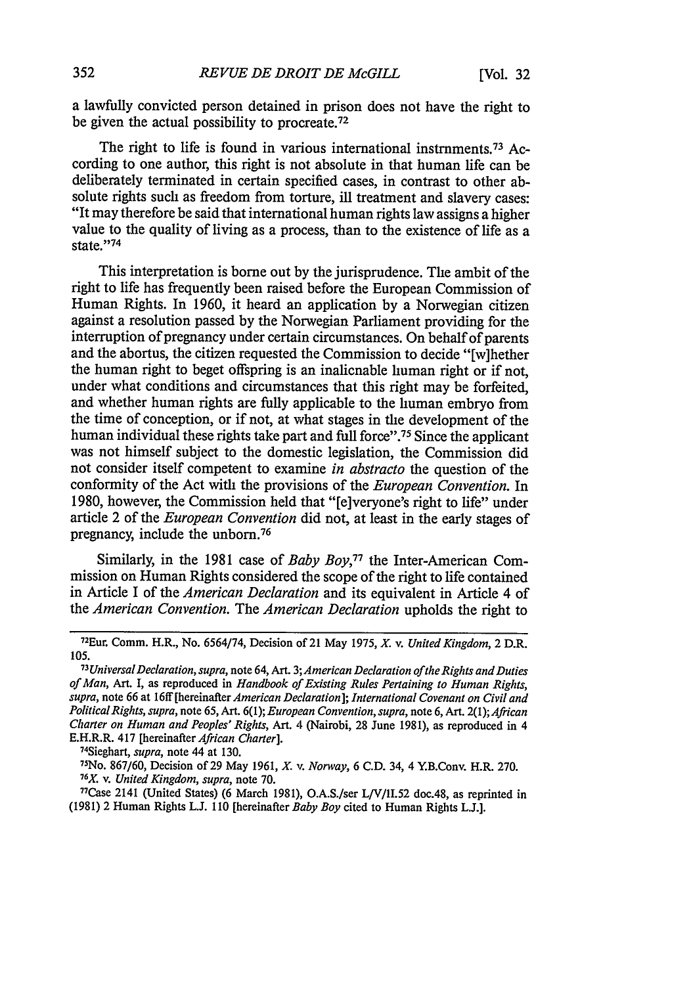a lawfully convicted person detained in prison does not have the right to be given the actual possibility to procreate.72

The right to life is found in various international instrnments.<sup>73</sup> According to one author, this right is not absolute in that human life can be deliberately terminated in certain specified cases, in contrast to other absolute rights such as freedom from torture, ill treatment and slavery cases: "It may therefore be said that international human rights law assigns a higher value to the quality of living as a process, than to the existence of life as a state."74

This interpretation is borne out by the jurisprudence. The ambit of the right to life has frequently been raised before the European Commission of Human Rights. In 1960, it heard an application by a Norwegian citizen against a resolution passed by the Norwegian Parliament providing for the interruption of pregnancy under certain circumstances. On behalf of parents and the abortus, the citizen requested the Commission to decide "[w]hether the human right to beget offspring is an inalienable human right or if not, under what conditions and circumstances that this right may be forfeited, and whether human rights are fully applicable to the human embryo from the time of conception, or if not, at what stages in the development of the human individual these rights take part and full force".<sup>75</sup> Since the applicant was not himself subject to the domestic legislation, the Commission did not consider itself competent to examine *in abstracto* the question of the conformity of the Act with the provisions of the *European Convention.* In 1980, however, the Commission held that "[e]veryone's right to life" under article 2 of the *European Convention* did not, at least in the early stages of pregnancy, include the unborn.<sup>76</sup>

Similarly, in the 1981 case of *Baby Boy*,<sup>77</sup> the Inter-American Commission on Human Rights considered the scope of the right to life contained in Article I of the *American Declaration* and its equivalent in Article 4 of the *American Convention.* The *American Declaration* upholds the right to

<sup>74</sup>Sieghart, *supra*, note 44 at 130.

75No. 867/60, Decision of 29 May 1961, *X.* v. *Norway,* 6 C.D. 34, 4 YB.Conv. H.R. 270. *<sup>76</sup> . v. United Kingdom, supra,* note 70.

77Case 2141 (United States) (6 March 1981), O.A.S./ser L/V/II.52 doc.48, as reprinted in (1981) 2 Human Rights L.J. 110 [hereinafter *Baby Boy* cited to Human Rights L.J.].

<sup>72</sup> Eur. Comm. H.R., No. 6564/74, Decision of 21 May 1975, *X. v. United Kingdom,* 2 D.R. 105.

*<sup>73</sup>Universal Declaration, supra,* note 64, Art. 3; *American Declaration ofthe Rights and Duties of Man,* Art. I, as reproduced in *Handbook of Existing Rules Pertaining to Human Rights, supra,* note 66 at 16ff [hereinafter *American Declaration]; International Covenant on Civil and PoliticalRights, supra,* note 65, Art. 6(1); *European Convention, supra,* note **6,** Art. *2(1);African Charter on Human and Peoples' Rights,* Art. 4 (Nairobi, 28 June 1981), as reproduced in 4 E.H.R.R. 417 [hereinafter *African Charter*].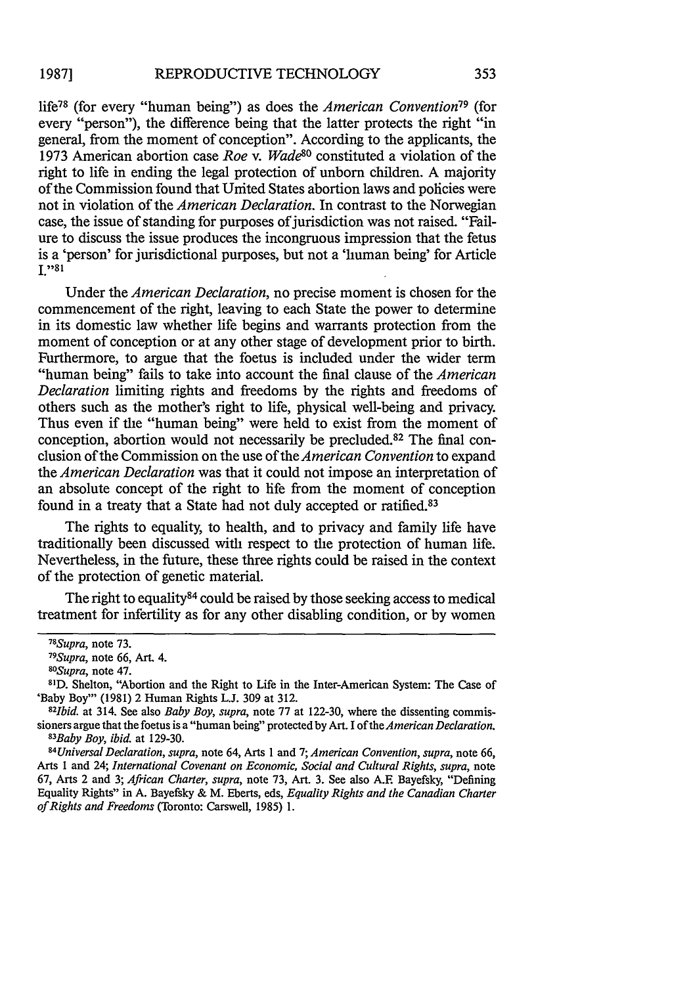life78 (for every "human being") as does the *American Convention79* (for every "person"), the difference being that the latter protects the right "in general, from the moment of conception". According to the applicants, the 1973 American abortion case *Roe v. Wade80* constituted a violation of the right to life in ending the legal protection of unborn children. A majority of the Commission found that United States abortion laws and policies were not in violation of the *American Declaration.* In contrast to the Norwegian case, the issue of standing for purposes of jurisdiction was not raised. "Failure to discuss the issue produces the incongruous impression that the fetus is a 'person' for jurisdictional purposes, but not a 'human being' for Article **I** $.91$ 

Under the *American Declaration,* no precise moment is chosen for the commencement of the right, leaving to each State the power to determine in its domestic law whether life begins and warrants protection from the moment of conception or at any other stage of development prior to birth. Furthermore, to argue that the foetus is included under the wider term "human being" fails to take into account the final clause of the *American Declaration* limiting rights and freedoms by the rights and freedoms of others such as the mother's right to life, physical well-being and privacy. Thus even if the "human being" were held to exist from the moment of conception, abortion would not necessarily be precluded. $82$  The final conclusion of the Commission on the use of the *American Convention* to expand the *American Declaration* was that it could not impose an interpretation of an absolute concept of the right to life from the moment of conception found in a treaty that a State had not duly accepted or ratified.83

The rights to equality, to health, and to privacy and family life have traditionally been discussed with respect to the protection of human life. Nevertheless, in the future, these three rights could be raised in the context of the protection of genetic material.

The right to equality  $84$  could be raised by those seeking access to medical treatment for infertility as for any other disabling condition, or by women

*Baby Boy, ibid.* at 129-30. *<sup>84</sup> Universal Declaration, supra,* note 64, Arts 1 and 7; *American Convention, supra,* note 66, Arts 1 and 24; *International Covenant on Economic, Social and Cultural Rights, supra,* note 67, Arts 2 and 3; *African Charter, supra,* note 73, Art. 3. See also A.E Bayefsky, "Defining Equality Rights" in A. Bayefsky & M. Eberts, eds, *Equality Rights and the Canadian Charter of Rights and Freedoms* (Toronto: Carswell, 1985) 1.

*<sup>78</sup> Supra,* note 73. *<sup>79</sup>*

*Supra,* note **66,** Art. 4. *<sup>8</sup> <sup>0</sup>*

*Supra,* note 47. **<sup>81</sup>**

**D.** Shelton, "Abortion and the Right to Life in the Inter-American System: The Case of 'Baby Boy"' (1981) 2 Human Rights **L.J.** 309 at 312.

*<sup>8</sup> 21bid.* at 314. See also *Baby Boy, supra,* note 77 at 122-30, where the dissenting commissioners argue that the foetus is a "human being" protected by Art. I *of the American Declaration. 8 3*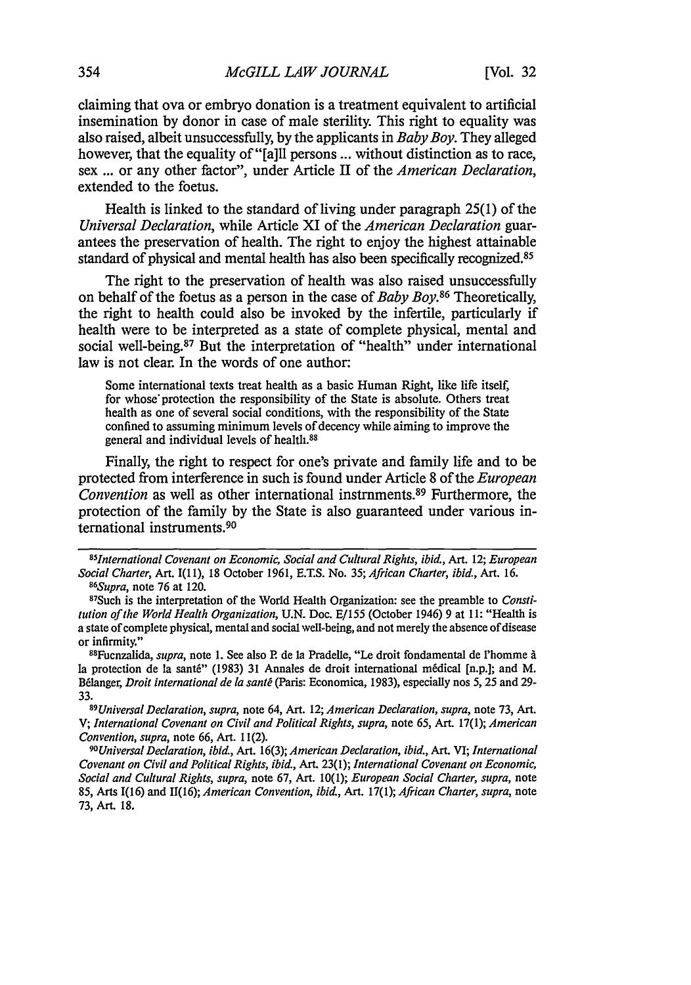claiming that ova or embryo donation is a treatment equivalent to artificial insemination by donor in case of male sterility. This right to equality was also raised, albeit unsuccessfully, by the applicants in *Baby Boy.* They alleged however, that the equality of "[a]ll persons ... without distinction as to race, sex ... or any other factor", under Article II of the *American Declaration,* extended to the foetus.

Health is linked to the standard of living under paragraph 25(1) of the *Universal Declaration,* while Article XI of the *American Declaration* guarantees the preservation of health. The right to enjoy the highest attainable standard of physical and mental health has also been specifically recognized.<sup>85</sup>

The right to the preservation of health was also raised unsuccessfully on behalf of the foetus as a person in the case of *Baby Boy.86* Theoretically, the right to health could also be invoked by the infertile, particularly if health were to be interpreted as a state of complete physical, mental and social well-being.<sup>87</sup> But the interpretation of "health" under international law is not clear. In the words of one author:

Some international texts treat health as a basic Human Right, like life itself, for whose' protection the responsibility of the State is absolute. Others treat health as one of several social conditions, with the responsibility of the State confined to assuming minimum levels of decency while aiming to improve the general and individual levels of health.88

Finally, the right to respect for one's private and family life and to be protected from interference in such is found under Article 8 of the *European Convention* as well as other international instrnments.<sup>89</sup> Furthermore, the protection of the family by the State is also guaranteed under various international instruments.<sup>90</sup>

88 Fuenzalida, *supra,* note 1. See also P. de la Pradelle, "Le droit fondamental de l'homme **A** la protection de la santé" (1983) 31 Annales de droit international médical [n.p.]; and M. Bélanger, *Droit international de la santé* (Paris: Economica, 1983), especially nos 5, 25 and 29-33.*<sup>89</sup>*

*Universal Declaration, supra,* note 64, Art. 12; *American Declaration, supra,* note 73, Art. V; *International Covenant on Civil and Political Rights, supra,* note 65, Art. 17(1); *American Convention, supra,* note 66, Art. 11(2).

*9°Universal Declaration, ibid.,* Art. 16(3); *American Declaration, ibid.,* Art. VI; *International Covenant on Civil and Political Rights, ibid.,* Art. 23(1); *International Covenant on Economic, Social and Cultural Rights, supra,* note 67, Art. 10(1); *European Social Charter, supra,* note 85, Arts 1(16) and 11(16); *American Convention, ibid.,* Art. 17(1); *African Charter, supra,* note 73, Art. 18.

*<sup>85</sup> International Covenant on Economic, Social and Cultural Rights, ibid.,* Art. 12; *European Social Charter,* Art. I(1 **1),** 18 October 1961, E.T.S. No. 35; *African Charter, ibid., Art.* 16. *86 Supra,* note 76 at 120. <sup>87</sup>

<sup>&</sup>lt;sup>87</sup>Such is the interpretation of the World Health Organization: see the preamble to *Constitution of the World Health Organization,* U.N. Doe. E/155 (October 1946) 9 at 11: "Health is a state of complete physical, mental and social well-being, and not merely the absence of disease or infirmity."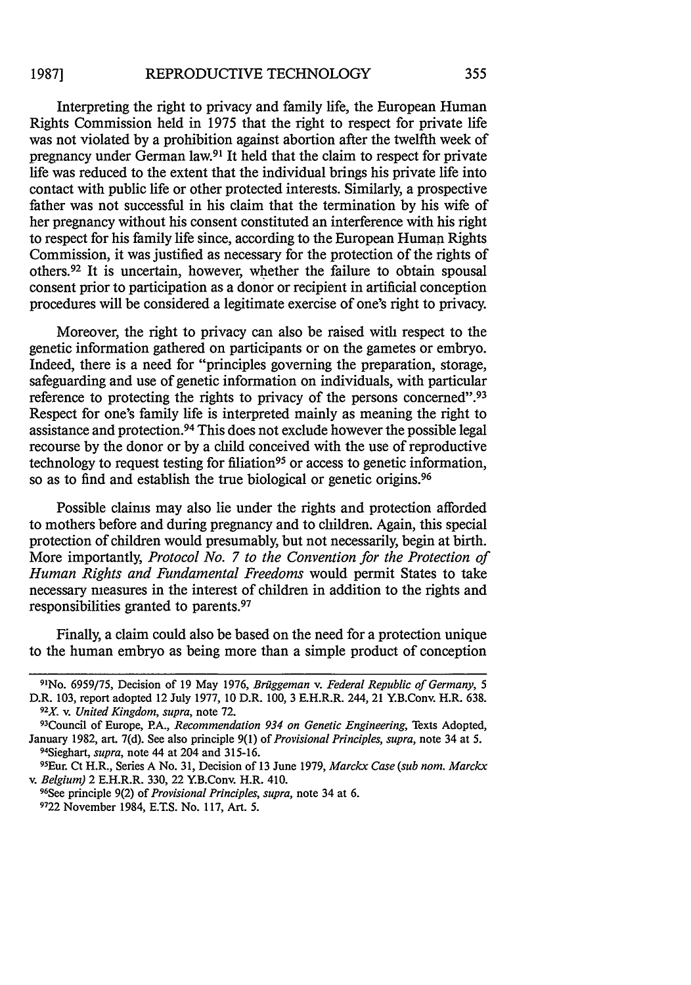Interpreting the right to privacy and family life, the European Human Rights Commission held in 1975 that the right to respect for private life was not violated by a prohibition against abortion after the twelfth week of pregnancy under German law.91 It held that the claim to respect for private life was reduced to the extent that the individual brings his private life into contact with public life or other protected interests. Similarly, a prospective father was not successful in his claim that the termination by his wife of her pregnancy without his consent constituted an interference with his right to respect for his family life since, according to the European Human Rights Commission, it was justified as necessary for the protection of the rights of others.92 It is uncertain, however, whether the failure to obtain spousal consent prior to participation as a donor or recipient in artificial conception procedures will be considered a legitimate exercise of one's right to privacy.

Moreover, the right to privacy can also be raised with respect to the genetic information gathered on participants or on the gametes or embryo. Indeed, there is a need for "principles governing the preparation, storage, safeguarding and use of genetic information on individuals, with particular reference to protecting the rights to privacy of the persons concerned".<sup>93</sup> Respect for one's family life is interpreted mainly as meaning the right to assistance and protection.94 This does not exclude however the possible legal recourse by the donor or by a child conceived with the use of reproductive technology to request testing for filiation<sup>95</sup> or access to genetic information, so as to find and establish the true biological or genetic origins.<sup>96</sup>

Possible claims may also lie under the rights and protection afforded to mothers before and during pregnancy and to children. Again, this special protection of children would presumably, but not necessarily, begin at birth. More importantly, *Protocol No. 7 to the Convention for the Protection of Human Rights and Fundamental Freedoms* would permit States to take necessary measures in the interest of children in addition to the rights and responsibilities granted to parents. <sup>97</sup>

Finally, a claim could also be based on the need for a protection unique to the human embryo as being more than a simple product of conception

<sup>&</sup>lt;sup>91</sup>No. 6959/75, Decision of 19 May 1976, *Brüggeman v. Federal Republic of Germany*, 5 D.R. 103, report adopted 12 July 1977, **10** D.R. 100, 3 E.H.R.R. 244, 21 Y.B.Conv. H.R. 638. <sup>92</sup>X. v. United Kingdom, supra, note 72.

Council of Europe, PA., *Recommendation 934 on Genetic Engineering,* Texts Adopted, January 1982, art. 7(d). See also principle 9(1) of *Provisional Principles, supra,* note 34 at 5. <sup>94</sup> Sieghart, *supra,* note 44 at 204 and 315-16.

<sup>9</sup>SEur. Ct H.R., Series A No. 31, Decision of 13 June 1979, *Marckx Case (sub nom. Marckx v. Belgium)* 2 E.H.R.R. 330, 22 Y.B.Conv. H.R. 410.

See principle 9(2) *of Provisional Principles, supra,* note 34 at 6. **9722** November 1984, E.T.S. No. 117, Art. 5.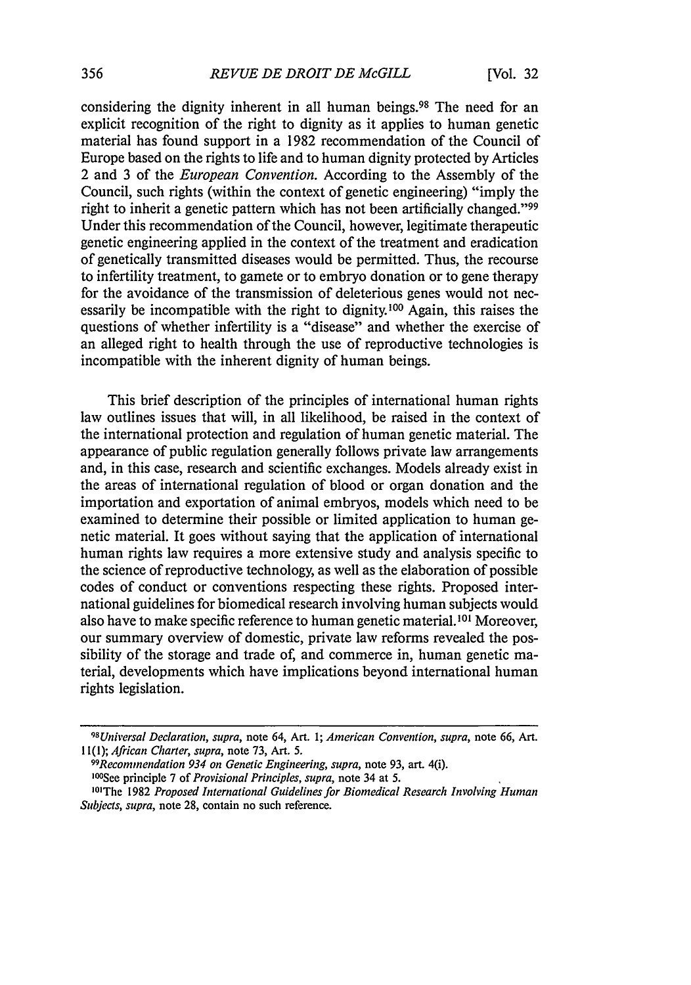considering the dignity inherent in all human beings.<sup>98</sup> The need for an explicit recognition of the right to dignity as it applies to human genetic material has found support in a 1982 recommendation of the Council of Europe based on the rights to life and to human dignity protected by Articles 2 and 3 of the *European Convention.* According to the Assembly of the Council, such rights (within the context of genetic engineering) "imply the right to inherit a genetic pattern which has not been artificially changed."<sup>99</sup> Under this recommendation of the Council, however, legitimate therapeutic genetic engineering applied in the context of the treatment and eradication of genetically transmitted diseases would be permitted. Thus, the recourse to infertility treatment, to gamete or to embryo donation or to gene therapy for the avoidance of the transmission of deleterious genes would not necessarily be incompatible with the right to dignity.100 Again, this raises the questions of whether infertility is a "disease" and whether the exercise of an alleged right to health through the use of reproductive technologies is incompatible with the inherent dignity of human beings.

This brief description of the principles of international human rights law outlines issues that will, in all likelihood, be raised in the context of the international protection and regulation of human genetic material. The appearance of public regulation generally follows private law arrangements and, in this case, research and scientific exchanges. Models already exist in the areas of international regulation of blood or organ donation and the importation and exportation of animal embryos, models which need to be examined to determine their possible or limited application to human genetic material. It goes without saying that the application of international human rights law requires a more extensive study and analysis specific to the science of reproductive technology, as well as the elaboration of possible codes of conduct or conventions respecting these rights. Proposed international guidelines for biomedical research involving human subjects would also have to make specific reference to human genetic material. **101** Moreover, our summary overview of domestic, private law reforms revealed the possibility of the storage and trade of, and commerce in, human genetic material, developments which have implications beyond international human rights legislation.

<sup>98</sup> *Universal* Declaration, supra, note 64, Art. 1; American Convention, supra, note 66, Art. 11(1); African Charter, supra, note 73, Art. 5.

<sup>99</sup> Recommendation 934 on Genetic Engineering, supra, note 93, art. 4(i). 10°See principle 7 of Provisional Principles, supra, note 34 at 5.

<sup>1915</sup> Proposed International Guidelines for Biomedical Research Involving Human Subjects, supra, note 28, contain no such reference.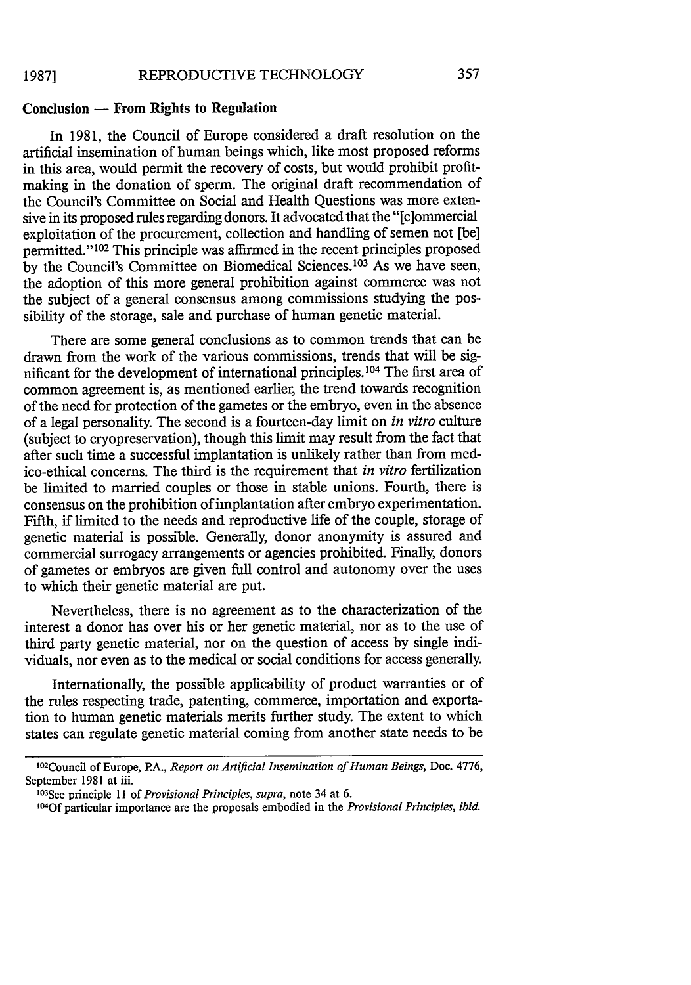# **Conclusion - From Rights to Regulation**

In **1981,** the Council of Europe considered a draft resolution on the artificial insemination of human beings which, like most proposed reforms in this area, would permit the recovery of costs, but would prohibit profitmaking in the donation of sperm. The original draft recommendation of the Council's Committee on Social and Health Questions was more extensive in its proposed rules regarding donors. It advocated that the "[c]ommercial exploitation of the procurement, collection and handling of semen not [be] permitted."<sup>102</sup> This principle was affirmed in the recent principles proposed by the Council's Committee on Biomedical Sciences.<sup>103</sup> As we have seen, the adoption of this more general prohibition against commerce was not the subject of a general consensus among commissions studying the possibility of the storage, sale and purchase of human genetic material.

There are some general conclusions as to common trends that can be drawn from the work of the various commissions, trends that will be significant for the development of international principles. 104 The first area of common agreement is, as mentioned earlier, the trend towards recognition of the need for protection of the gametes or the embryo, even in the absence of a legal personality. The second is a fourteen-day limit on *in vitro* culture (subject to cryopreservation), though this limit may result from the fact that after such time a successful implantation is unlikely rather than from medico-ethical concerns. The third is the requirement that *in vitro* fertilization be limited to married couples or those in stable unions. Fourth, there is consensus on the prohibition of implantation after embryo experimentation. Fifth, if limited to the needs and reproductive life of the couple, storage of genetic material is possible. Generally, donor anonymity is assured and commercial surrogacy arrangements or agencies prohibited. Finally, donors of gametes or embryos are given full control and autonomy over the uses to which their genetic material are put.

Nevertheless, there is no agreement as to the characterization of the interest a donor has over his or her genetic material, nor as to the use of third party genetic material, nor on the question of access by single individuals, nor even as to the medical or social conditions for access generally.

Internationally, the possible applicability of product warranties or of the rules respecting trade, patenting, commerce, importation and exportation to human genetic materials merits further study. The extent to which states can regulate genetic material coming from another state needs to be

<sup>102</sup> Council of Europe, PA., *Report on Artificial Insemination of Human Beings,* Doc. 4776, September 1981 at iii.

<sup>1</sup> 03 See principle 11 *of Provisional Principles, supra,* note 34 at 6.

<sup>104</sup>Of particular importance are the proposals embodied in the *Provisional Principles, ibid.*